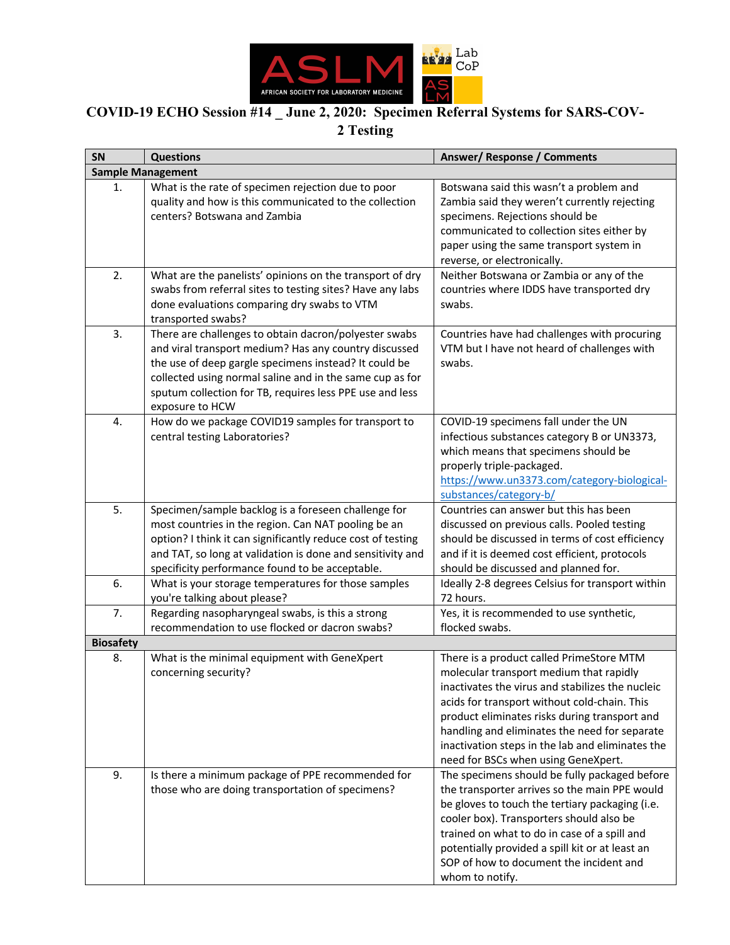

## **COVID-19 ECHO Session #14 \_ June 2, 2020: Specimen Referral Systems for SARS-COV-2 Testing**

| SN                       | <b>Questions</b>                                                                                                                                                                                                                                                                                                   | Answer/Response / Comments                                                                                                                                                                                                                                                                                                                                                           |  |
|--------------------------|--------------------------------------------------------------------------------------------------------------------------------------------------------------------------------------------------------------------------------------------------------------------------------------------------------------------|--------------------------------------------------------------------------------------------------------------------------------------------------------------------------------------------------------------------------------------------------------------------------------------------------------------------------------------------------------------------------------------|--|
| <b>Sample Management</b> |                                                                                                                                                                                                                                                                                                                    |                                                                                                                                                                                                                                                                                                                                                                                      |  |
| 1.                       | What is the rate of specimen rejection due to poor<br>quality and how is this communicated to the collection<br>centers? Botswana and Zambia                                                                                                                                                                       | Botswana said this wasn't a problem and<br>Zambia said they weren't currently rejecting<br>specimens. Rejections should be<br>communicated to collection sites either by<br>paper using the same transport system in<br>reverse, or electronically.                                                                                                                                  |  |
| 2.                       | What are the panelists' opinions on the transport of dry<br>swabs from referral sites to testing sites? Have any labs<br>done evaluations comparing dry swabs to VTM<br>transported swabs?                                                                                                                         | Neither Botswana or Zambia or any of the<br>countries where IDDS have transported dry<br>swabs.                                                                                                                                                                                                                                                                                      |  |
| 3.                       | There are challenges to obtain dacron/polyester swabs<br>and viral transport medium? Has any country discussed<br>the use of deep gargle specimens instead? It could be<br>collected using normal saline and in the same cup as for<br>sputum collection for TB, requires less PPE use and less<br>exposure to HCW | Countries have had challenges with procuring<br>VTM but I have not heard of challenges with<br>swabs.                                                                                                                                                                                                                                                                                |  |
| 4.                       | How do we package COVID19 samples for transport to<br>central testing Laboratories?                                                                                                                                                                                                                                | COVID-19 specimens fall under the UN<br>infectious substances category B or UN3373,<br>which means that specimens should be<br>properly triple-packaged.<br>https://www.un3373.com/category-biological-<br>substances/category-b/                                                                                                                                                    |  |
| 5.                       | Specimen/sample backlog is a foreseen challenge for<br>most countries in the region. Can NAT pooling be an<br>option? I think it can significantly reduce cost of testing<br>and TAT, so long at validation is done and sensitivity and<br>specificity performance found to be acceptable.                         | Countries can answer but this has been<br>discussed on previous calls. Pooled testing<br>should be discussed in terms of cost efficiency<br>and if it is deemed cost efficient, protocols<br>should be discussed and planned for.                                                                                                                                                    |  |
| 6.                       | What is your storage temperatures for those samples<br>you're talking about please?                                                                                                                                                                                                                                | Ideally 2-8 degrees Celsius for transport within<br>72 hours.                                                                                                                                                                                                                                                                                                                        |  |
| 7.                       | Regarding nasopharyngeal swabs, is this a strong<br>recommendation to use flocked or dacron swabs?                                                                                                                                                                                                                 | Yes, it is recommended to use synthetic,<br>flocked swabs.                                                                                                                                                                                                                                                                                                                           |  |
| <b>Biosafety</b>         |                                                                                                                                                                                                                                                                                                                    |                                                                                                                                                                                                                                                                                                                                                                                      |  |
| 8.                       | What is the minimal equipment with GeneXpert<br>concerning security?                                                                                                                                                                                                                                               | There is a product called PrimeStore MTM<br>molecular transport medium that rapidly<br>inactivates the virus and stabilizes the nucleic<br>acids for transport without cold-chain. This<br>product eliminates risks during transport and<br>handling and eliminates the need for separate<br>inactivation steps in the lab and eliminates the<br>need for BSCs when using GeneXpert. |  |
| 9.                       | Is there a minimum package of PPE recommended for<br>those who are doing transportation of specimens?                                                                                                                                                                                                              | The specimens should be fully packaged before<br>the transporter arrives so the main PPE would<br>be gloves to touch the tertiary packaging (i.e.<br>cooler box). Transporters should also be<br>trained on what to do in case of a spill and<br>potentially provided a spill kit or at least an<br>SOP of how to document the incident and<br>whom to notify.                       |  |